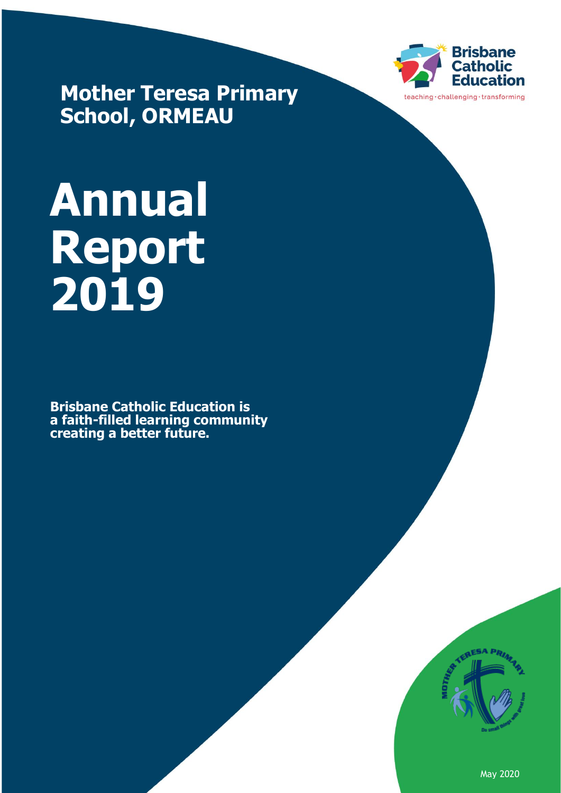

**Mother Teresa Primary School, ORMEAU**

# **Annual Report 2019**

**Brisbane Catholic Education is a faith-filled learning community creating a better future.**



May 2020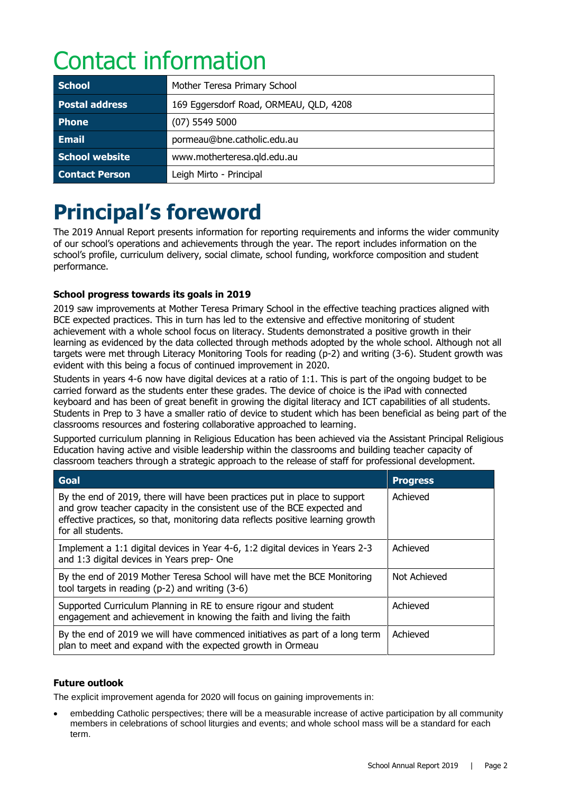# Contact information

| <b>School</b>         | Mother Teresa Primary School           |  |  |
|-----------------------|----------------------------------------|--|--|
| <b>Postal address</b> | 169 Eggersdorf Road, ORMEAU, QLD, 4208 |  |  |
| <b>Phone</b>          | $(07)$ 5549 5000                       |  |  |
| <b>Email</b>          | pormeau@bne.catholic.edu.au            |  |  |
| <b>School website</b> | www.motherteresa.gld.edu.au            |  |  |
| <b>Contact Person</b> | Leigh Mirto - Principal                |  |  |

# **Principal's foreword**

The 2019 Annual Report presents information for reporting requirements and informs the wider community of our school's operations and achievements through the year. The report includes information on the school's profile, curriculum delivery, social climate, school funding, workforce composition and student performance.

#### **School progress towards its goals in 2019**

2019 saw improvements at Mother Teresa Primary School in the effective teaching practices aligned with BCE expected practices. This in turn has led to the extensive and effective monitoring of student achievement with a whole school focus on literacy. Students demonstrated a positive growth in their learning as evidenced by the data collected through methods adopted by the whole school. Although not all targets were met through Literacy Monitoring Tools for reading (p-2) and writing (3-6). Student growth was evident with this being a focus of continued improvement in 2020.

Students in years 4-6 now have digital devices at a ratio of 1:1. This is part of the ongoing budget to be carried forward as the students enter these grades. The device of choice is the iPad with connected keyboard and has been of great benefit in growing the digital literacy and ICT capabilities of all students. Students in Prep to 3 have a smaller ratio of device to student which has been beneficial as being part of the classrooms resources and fostering collaborative approached to learning.

Supported curriculum planning in Religious Education has been achieved via the Assistant Principal Religious Education having active and visible leadership within the classrooms and building teacher capacity of classroom teachers through a strategic approach to the release of staff for professional development.

| Goal                                                                                                                                                                                                                                                          | <b>Progress</b> |
|---------------------------------------------------------------------------------------------------------------------------------------------------------------------------------------------------------------------------------------------------------------|-----------------|
| By the end of 2019, there will have been practices put in place to support<br>and grow teacher capacity in the consistent use of the BCE expected and<br>effective practices, so that, monitoring data reflects positive learning growth<br>for all students. | Achieved        |
| Implement a 1:1 digital devices in Year 4-6, 1:2 digital devices in Years 2-3<br>and 1:3 digital devices in Years prep- One                                                                                                                                   | Achieved        |
| By the end of 2019 Mother Teresa School will have met the BCE Monitoring<br>tool targets in reading $(p-2)$ and writing $(3-6)$                                                                                                                               | Not Achieved    |
| Supported Curriculum Planning in RE to ensure rigour and student<br>engagement and achievement in knowing the faith and living the faith                                                                                                                      | Achieved        |
| By the end of 2019 we will have commenced initiatives as part of a long term<br>plan to meet and expand with the expected growth in Ormeau                                                                                                                    | Achieved        |

#### **Future outlook**

The explicit improvement agenda for 2020 will focus on gaining improvements in:

• embedding Catholic perspectives; there will be a measurable increase of active participation by all community members in celebrations of school liturgies and events; and whole school mass will be a standard for each term.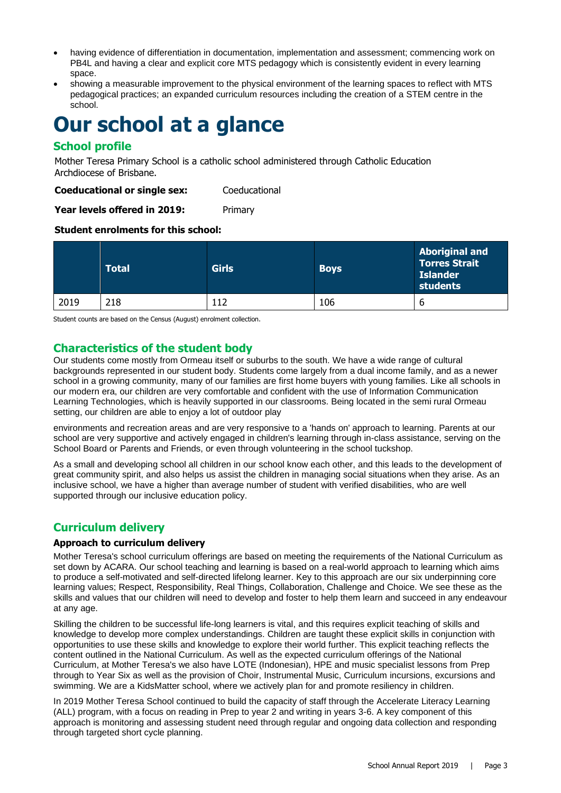- having evidence of differentiation in documentation, implementation and assessment; commencing work on PB4L and having a clear and explicit core MTS pedagogy which is consistently evident in every learning space.
- showing a measurable improvement to the physical environment of the learning spaces to reflect with MTS pedagogical practices; an expanded curriculum resources including the creation of a STEM centre in the school.

### **Our school at a glance**

#### **School profile**

Mother Teresa Primary School is a catholic school administered through Catholic Education Archdiocese of Brisbane.

**Coeducational or single sex:** Coeducational

Year levels offered in 2019: Primary

#### **Student enrolments for this school:**

|      | <b>Total</b> | <b>Girls</b> | <b>Boys</b> | <b>Aboriginal and</b><br><b>Torres Strait</b><br><b>Islander</b><br>students |
|------|--------------|--------------|-------------|------------------------------------------------------------------------------|
| 2019 | 218          | 112          | 106         | o                                                                            |

Student counts are based on the Census (August) enrolment collection.

#### **Characteristics of the student body**

Our students come mostly from Ormeau itself or suburbs to the south. We have a wide range of cultural backgrounds represented in our student body. Students come largely from a dual income family, and as a newer school in a growing community, many of our families are first home buyers with young families. Like all schools in our modern era, our children are very comfortable and confident with the use of Information Communication Learning Technologies, which is heavily supported in our classrooms. Being located in the semi rural Ormeau setting, our children are able to enjoy a lot of outdoor play

environments and recreation areas and are very responsive to a 'hands on' approach to learning. Parents at our school are very supportive and actively engaged in children's learning through in-class assistance, serving on the School Board or Parents and Friends, or even through volunteering in the school tuckshop.

As a small and developing school all children in our school know each other, and this leads to the development of great community spirit, and also helps us assist the children in managing social situations when they arise. As an inclusive school, we have a higher than average number of student with verified disabilities, who are well supported through our inclusive education policy.

#### **Curriculum delivery**

#### **Approach to curriculum delivery**

Mother Teresa's school curriculum offerings are based on meeting the requirements of the National Curriculum as set down by ACARA. Our school teaching and learning is based on a real-world approach to learning which aims to produce a self-motivated and self-directed lifelong learner. Key to this approach are our six underpinning core learning values; Respect, Responsibility, Real Things, Collaboration, Challenge and Choice. We see these as the skills and values that our children will need to develop and foster to help them learn and succeed in any endeavour at any age.

Skilling the children to be successful life-long learners is vital, and this requires explicit teaching of skills and knowledge to develop more complex understandings. Children are taught these explicit skills in conjunction with opportunities to use these skills and knowledge to explore their world further. This explicit teaching reflects the content outlined in the National Curriculum. As well as the expected curriculum offerings of the National Curriculum, at Mother Teresa's we also have LOTE (Indonesian), HPE and music specialist lessons from Prep through to Year Six as well as the provision of Choir, Instrumental Music, Curriculum incursions, excursions and swimming. We are a KidsMatter school, where we actively plan for and promote resiliency in children.

In 2019 Mother Teresa School continued to build the capacity of staff through the Accelerate Literacy Learning (ALL) program, with a focus on reading in Prep to year 2 and writing in years 3-6. A key component of this approach is monitoring and assessing student need through regular and ongoing data collection and responding through targeted short cycle planning.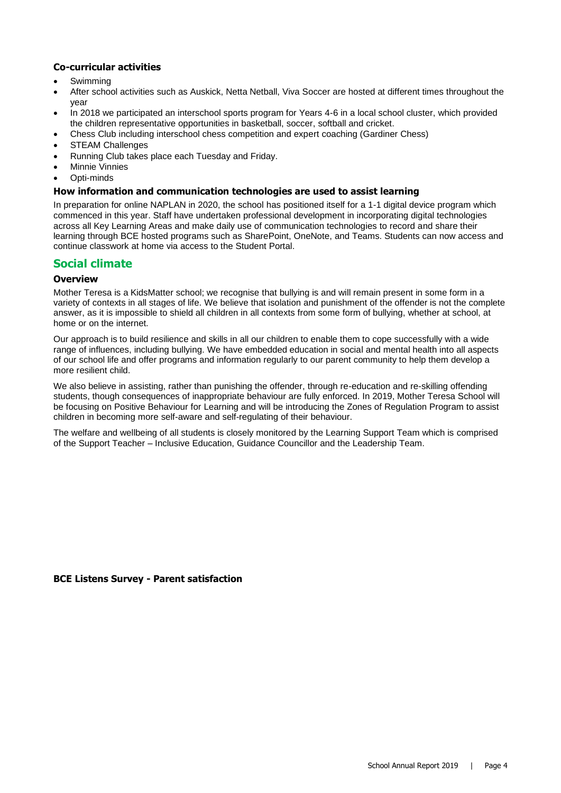#### **Co-curricular activities**

- **Swimming**
- After school activities such as Auskick, Netta Netball, Viva Soccer are hosted at different times throughout the year
- In 2018 we participated an interschool sports program for Years 4-6 in a local school cluster, which provided the children representative opportunities in basketball, soccer, softball and cricket.
- Chess Club including interschool chess competition and expert coaching (Gardiner Chess)
- **STEAM Challenges**
- Running Club takes place each Tuesday and Friday.
- **Minnie Vinnies**
- Opti-minds

#### **How information and communication technologies are used to assist learning**

In preparation for online NAPLAN in 2020, the school has positioned itself for a 1-1 digital device program which commenced in this year. Staff have undertaken professional development in incorporating digital technologies across all Key Learning Areas and make daily use of communication technologies to record and share their learning through BCE hosted programs such as SharePoint, OneNote, and Teams. Students can now access and continue classwork at home via access to the Student Portal.

#### **Social climate**

#### **Overview**

Mother Teresa is a KidsMatter school; we recognise that bullying is and will remain present in some form in a variety of contexts in all stages of life. We believe that isolation and punishment of the offender is not the complete answer, as it is impossible to shield all children in all contexts from some form of bullying, whether at school, at home or on the internet.

Our approach is to build resilience and skills in all our children to enable them to cope successfully with a wide range of influences, including bullying. We have embedded education in social and mental health into all aspects of our school life and offer programs and information regularly to our parent community to help them develop a more resilient child.

We also believe in assisting, rather than punishing the offender, through re-education and re-skilling offending students, though consequences of inappropriate behaviour are fully enforced. In 2019, Mother Teresa School will be focusing on Positive Behaviour for Learning and will be introducing the Zones of Regulation Program to assist children in becoming more self-aware and self-regulating of their behaviour.

The welfare and wellbeing of all students is closely monitored by the Learning Support Team which is comprised of the Support Teacher – Inclusive Education, Guidance Councillor and the Leadership Team.

#### **BCE Listens Survey - Parent satisfaction**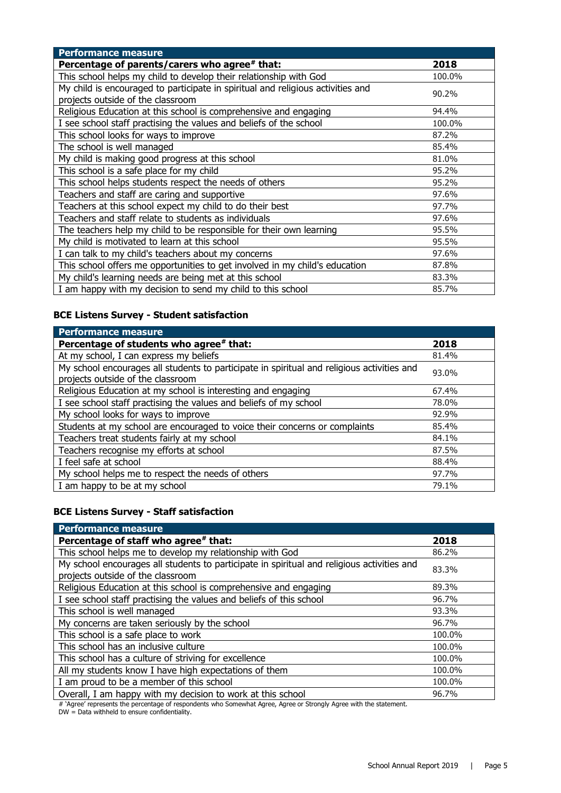| <b>Performance measure</b>                                                      |        |
|---------------------------------------------------------------------------------|--------|
| Percentage of parents/carers who agree# that:                                   | 2018   |
| This school helps my child to develop their relationship with God               | 100.0% |
| My child is encouraged to participate in spiritual and religious activities and |        |
| projects outside of the classroom                                               | 90.2%  |
| Religious Education at this school is comprehensive and engaging                | 94.4%  |
| I see school staff practising the values and beliefs of the school              | 100.0% |
| This school looks for ways to improve                                           | 87.2%  |
| The school is well managed                                                      | 85.4%  |
| My child is making good progress at this school                                 | 81.0%  |
| This school is a safe place for my child                                        | 95.2%  |
| This school helps students respect the needs of others                          | 95.2%  |
| Teachers and staff are caring and supportive                                    | 97.6%  |
| Teachers at this school expect my child to do their best                        | 97.7%  |
| Teachers and staff relate to students as individuals                            | 97.6%  |
| The teachers help my child to be responsible for their own learning             | 95.5%  |
| My child is motivated to learn at this school                                   | 95.5%  |
| I can talk to my child's teachers about my concerns                             | 97.6%  |
| This school offers me opportunities to get involved in my child's education     | 87.8%  |
| My child's learning needs are being met at this school                          | 83.3%  |
| I am happy with my decision to send my child to this school                     | 85.7%  |

#### **BCE Listens Survey - Student satisfaction**

| <b>Performance measure</b>                                                                                                      |       |
|---------------------------------------------------------------------------------------------------------------------------------|-------|
| Percentage of students who agree# that:                                                                                         | 2018  |
| At my school, I can express my beliefs                                                                                          | 81.4% |
| My school encourages all students to participate in spiritual and religious activities and<br>projects outside of the classroom | 93.0% |
| Religious Education at my school is interesting and engaging                                                                    | 67.4% |
| I see school staff practising the values and beliefs of my school                                                               | 78.0% |
| My school looks for ways to improve                                                                                             | 92.9% |
| Students at my school are encouraged to voice their concerns or complaints                                                      | 85.4% |
| Teachers treat students fairly at my school                                                                                     | 84.1% |
| Teachers recognise my efforts at school                                                                                         | 87.5% |
| I feel safe at school                                                                                                           | 88.4% |
| My school helps me to respect the needs of others                                                                               | 97.7% |
| I am happy to be at my school                                                                                                   | 79.1% |

#### **BCE Listens Survey - Staff satisfaction**

| <b>Performance measure</b>                                                                                                      |        |
|---------------------------------------------------------------------------------------------------------------------------------|--------|
| Percentage of staff who agree# that:                                                                                            | 2018   |
| This school helps me to develop my relationship with God                                                                        | 86.2%  |
| My school encourages all students to participate in spiritual and religious activities and<br>projects outside of the classroom | 83.3%  |
| Religious Education at this school is comprehensive and engaging                                                                | 89.3%  |
| I see school staff practising the values and beliefs of this school                                                             | 96.7%  |
| This school is well managed                                                                                                     | 93.3%  |
| My concerns are taken seriously by the school                                                                                   | 96.7%  |
| This school is a safe place to work                                                                                             | 100.0% |
| This school has an inclusive culture                                                                                            | 100.0% |
| This school has a culture of striving for excellence                                                                            | 100.0% |
| All my students know I have high expectations of them                                                                           | 100.0% |
| I am proud to be a member of this school                                                                                        | 100.0% |
| Overall, I am happy with my decision to work at this school                                                                     | 96.7%  |

# 'Agree' represents the percentage of respondents who Somewhat Agree, Agree or Strongly Agree with the statement.

DW = Data withheld to ensure confidentiality.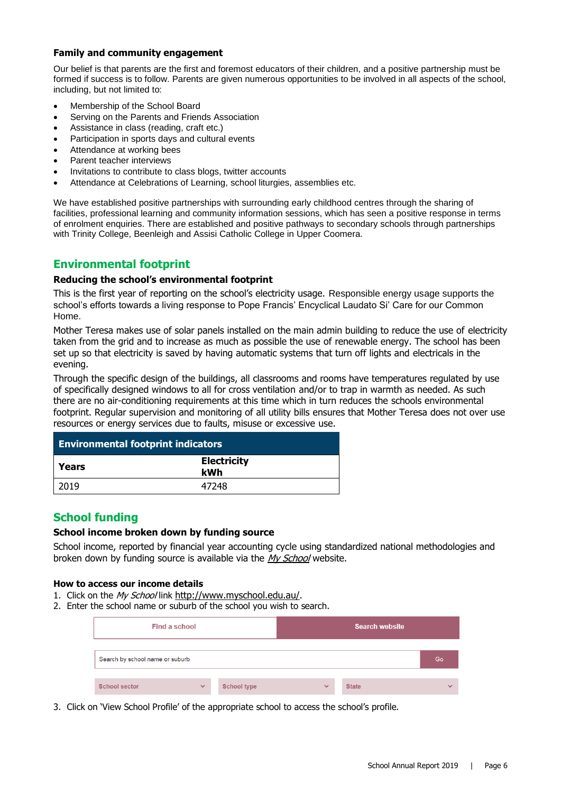#### **Family and community engagement**

Our belief is that parents are the first and foremost educators of their children, and a positive partnership must be formed if success is to follow. Parents are given numerous opportunities to be involved in all aspects of the school, including, but not limited to:

- Membership of the School Board
- Serving on the Parents and Friends Association
- Assistance in class (reading, craft etc.)
- Participation in sports days and cultural events
- Attendance at working bees
- Parent teacher interviews
- Invitations to contribute to class blogs, twitter accounts
- Attendance at Celebrations of Learning, school liturgies, assemblies etc.

We have established positive partnerships with surrounding early childhood centres through the sharing of facilities, professional learning and community information sessions, which has seen a positive response in terms of enrolment enquiries. There are established and positive pathways to secondary schools through partnerships with Trinity College, Beenleigh and Assisi Catholic College in Upper Coomera.

#### **Environmental footprint**

#### **Reducing the school's environmental footprint**

This is the first year of reporting on the school's electricity usage. Responsible energy usage supports the school's efforts towards a living response to Pope Francis' Encyclical Laudato Si' Care for our Common Home.

Mother Teresa makes use of solar panels installed on the main admin building to reduce the use of electricity taken from the grid and to increase as much as possible the use of renewable energy. The school has been set up so that electricity is saved by having automatic systems that turn off lights and electricals in the evening.

Through the specific design of the buildings, all classrooms and rooms have temperatures regulated by use of specifically designed windows to all for cross ventilation and/or to trap in warmth as needed. As such there are no air-conditioning requirements at this time which in turn reduces the schools environmental footprint. Regular supervision and monitoring of all utility bills ensures that Mother Teresa does not over use resources or energy services due to faults, misuse or excessive use.

| <b>Environmental footprint indicators</b> |                           |  |  |
|-------------------------------------------|---------------------------|--|--|
| l Years                                   | <b>Electricity</b><br>kWh |  |  |
| 2019                                      | 47248                     |  |  |

#### **School funding**

#### **School income broken down by funding source**

School income, reported by financial year accounting cycle using standardized national methodologies and broken down by funding source is available via the [My School](http://www.myschool.edu.au/) website.

#### **How to access our income details**

- 1. Click on the My School link <http://www.myschool.edu.au/>.
- 2. Enter the school name or suburb of the school you wish to search.

| Find a school                   |              |                    |              | <b>Search website</b> |              |
|---------------------------------|--------------|--------------------|--------------|-----------------------|--------------|
| Search by school name or suburb |              |                    |              |                       | Go           |
| <b>School sector</b>            | $\checkmark$ | <b>School type</b> | $\checkmark$ | <b>State</b>          | $\checkmark$ |

3. Click on 'View School Profile' of the appropriate school to access the school's profile.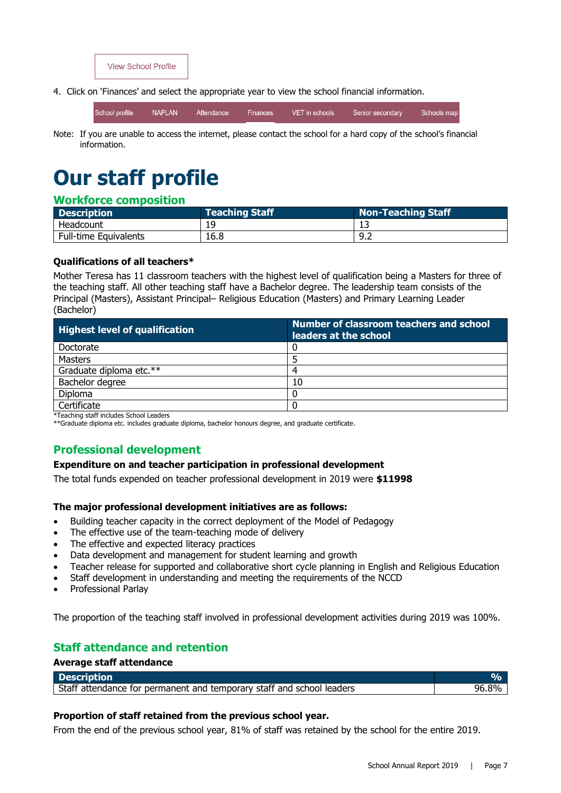

4. Click on 'Finances' and select the appropriate year to view the school financial information.

| School profile | NAPLAN <sup>1</sup> | LAttendance | Finances | VET in schools | Senior secondary | Schools map |
|----------------|---------------------|-------------|----------|----------------|------------------|-------------|
|                |                     |             |          |                |                  |             |

Note: If you are unable to access the internet, please contact the school for a hard copy of the school's financial information.

# **Our staff profile**

#### **Workforce composition**

| <b>Description</b>           | Teaching Staff | <b>Non-Teaching Staff</b> |
|------------------------------|----------------|---------------------------|
| Headcount                    | 19             |                           |
| <b>Full-time Equivalents</b> | 16.8           | -9.2                      |

#### **Qualifications of all teachers\***

Mother Teresa has 11 classroom teachers with the highest level of qualification being a Masters for three of the teaching staff. All other teaching staff have a Bachelor degree. The leadership team consists of the Principal (Masters), Assistant Principal– Religious Education (Masters) and Primary Learning Leader (Bachelor)

| <b>Highest level of qualification</b>             | Number of classroom teachers and school<br>leaders at the school |
|---------------------------------------------------|------------------------------------------------------------------|
| Doctorate                                         |                                                                  |
| Masters                                           |                                                                  |
| Graduate diploma etc.**                           | 4                                                                |
| Bachelor degree                                   | 10                                                               |
| <b>Diploma</b>                                    |                                                                  |
| Certificate                                       |                                                                  |
| <b>WTennister of Construction Coloral Leaders</b> |                                                                  |

\*Teaching staff includes School Leaders

\*\*Graduate diploma etc. includes graduate diploma, bachelor honours degree, and graduate certificate.

#### **Professional development**

#### **Expenditure on and teacher participation in professional development**

The total funds expended on teacher professional development in 2019 were **\$11998**

#### **The major professional development initiatives are as follows:**

- Building teacher capacity in the correct deployment of the Model of Pedagogy
- The effective use of the team-teaching mode of delivery
- The effective and expected literacy practices
- Data development and management for student learning and growth
- Teacher release for supported and collaborative short cycle planning in English and Religious Education
- Staff development in understanding and meeting the requirements of the NCCD
- Professional Parlay

**Average staff attendance**

The proportion of the teaching staff involved in professional development activities during 2019 was 100%.

#### **Staff attendance and retention**

| <b>Description</b>                                                    |       |
|-----------------------------------------------------------------------|-------|
| Staff attendance for permanent and temporary staff and school leaders | 96 ጸ% |

#### **Proportion of staff retained from the previous school year.**

From the end of the previous school year, 81% of staff was retained by the school for the entire 2019.